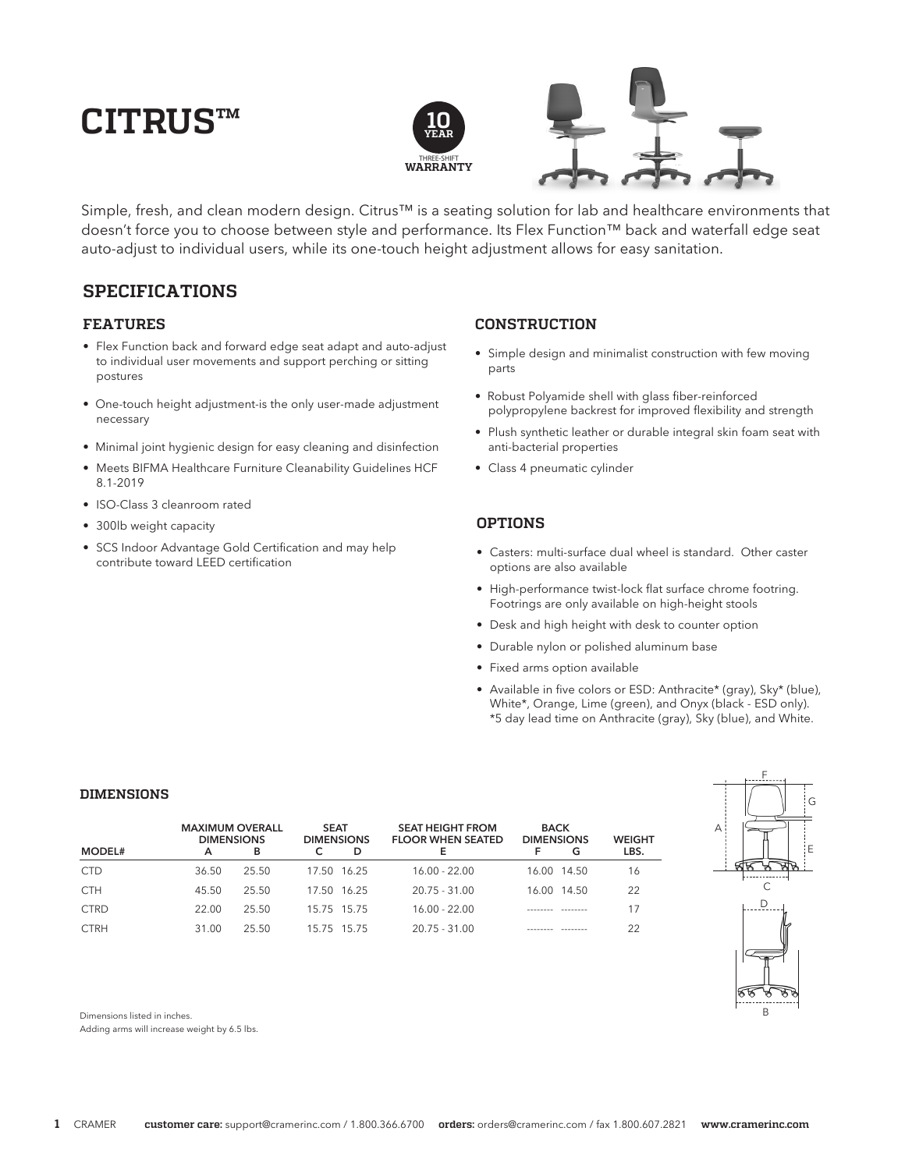# **CITRUS™**



Simple, fresh, and clean modern design. Citrus™ is a seating solution for lab and healthcare environments that doesn't force you to choose between style and performance. Its Flex Function™ back and waterfall edge seat auto-adjust to individual users, while its one-touch height adjustment allows for easy sanitation.

# **SPECIFICATIONS**

### **FEATURES**

- Flex Function back and forward edge seat adapt and auto-adjust to individual user movements and support perching or sitting postures
- One-touch height adjustment-is the only user-made adjustment necessary
- Minimal joint hygienic design for easy cleaning and disinfection
- Meets BIFMA Healthcare Furniture Cleanability Guidelines HCF 8.1-2019
- ISO-Class 3 cleanroom rated
- 300lb weight capacity
- SCS Indoor Advantage Gold Certification and may help contribute toward LEED certification

## **CONSTRUCTION**

- Simple design and minimalist construction with few moving parts
- Robust Polyamide shell with glass fiber-reinforced polypropylene backrest for improved flexibility and strength
- Plush synthetic leather or durable integral skin foam seat with anti-bacterial properties
- Class 4 pneumatic cylinder

## **OPTIONS**

- Casters: multi-surface dual wheel is standard. Other caster options are also available
- High-performance twist-lock flat surface chrome footring. Footrings are only available on high-height stools
- Desk and high height with desk to counter option
- Durable nylon or polished aluminum base
- Fixed arms option available
- Available in five colors or ESD: Anthracite\* (gray), Sky\* (blue), White\*, Orange, Lime (green), and Onyx (black - ESD only). \*5 day lead time on Anthracite (gray), Sky (blue), and White.

#### **DIMENSIONS**

| MODEL#      | <b>MAXIMUM OVERALL</b><br><b>DIMENSIONS</b><br>А | в     | <b>SEAT</b><br><b>DIMENSIONS</b> | D | <b>SEAT HEIGHT FROM</b><br><b>FLOOR WHEN SEATED</b> | <b>BACK</b><br><b>DIMENSIONS</b> | G           | <b>WEIGHT</b><br>LBS. |
|-------------|--------------------------------------------------|-------|----------------------------------|---|-----------------------------------------------------|----------------------------------|-------------|-----------------------|
| <b>CTD</b>  | 36.50                                            | 25.50 | 17.50 16.25                      |   | $16.00 - 22.00$                                     |                                  | 16.00 14.50 | 16                    |
| <b>CTH</b>  | 45.50                                            | 25.50 | 17.50 16.25                      |   | $20.75 - 31.00$                                     |                                  | 16.00 14.50 | 22                    |
| <b>CTRD</b> | 22.00                                            | 25.50 | 15.75 15.75                      |   | $16.00 - 22.00$                                     |                                  |             | 17                    |
| <b>CTRH</b> | 31.00                                            | 25.50 | 15 75 15 75                      |   | $20.75 - 31.00$                                     |                                  |             | 22                    |



Dimensions listed in inches.

Adding arms will increase weight by 6.5 lbs.